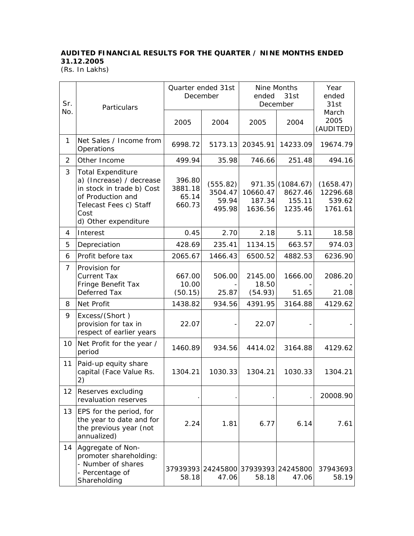## **AUDITED FINANCIAL RESULTS FOR THE QUARTER / NINE MONTHS ENDED 31.12.2005**

(Rs. In Lakhs)

| Sr.            | Particulars                                                                                                                                                      | Quarter ended 31st<br>December       |                                              | Nine Months<br>ended<br>31st<br>December |                                                  | Year<br>ended<br>31st                      |
|----------------|------------------------------------------------------------------------------------------------------------------------------------------------------------------|--------------------------------------|----------------------------------------------|------------------------------------------|--------------------------------------------------|--------------------------------------------|
| No.            |                                                                                                                                                                  | 2005                                 | 2004                                         | 2005                                     | 2004                                             | March<br>2005<br>(AUDITED)                 |
| 1              | Net Sales / Income from<br>Operations                                                                                                                            | 6998.72                              | 5173.13                                      | 20345.91                                 | 14233.09                                         | 19674.79                                   |
| 2              | Other Income                                                                                                                                                     | 499.94                               | 35.98                                        | 746.66                                   | 251.48                                           | 494.16                                     |
| 3              | <b>Total Expenditure</b><br>a) (Increase) / decrease<br>in stock in trade b) Cost<br>of Production and<br>Telecast Fees c) Staff<br>Cost<br>d) Other expenditure | 396.80<br>3881.18<br>65.14<br>660.73 | (555.82)<br>3504.47<br>59.94<br>495.98       | 10660.47<br>187.34<br>1636.56            | 971.35 (1084.67)<br>8627.46<br>155.11<br>1235.46 | (1658.47)<br>12296.68<br>539.62<br>1761.61 |
| 4              | Interest                                                                                                                                                         | 0.45                                 | 2.70                                         | 2.18                                     | 5.11                                             | 18.58                                      |
| 5              | Depreciation                                                                                                                                                     | 428.69                               | 235.41                                       | 1134.15                                  | 663.57                                           | 974.03                                     |
| 6              | Profit before tax                                                                                                                                                | 2065.67                              | 1466.43                                      | 6500.52                                  | 4882.53                                          | 6236.90                                    |
| $\overline{7}$ | Provision for<br><b>Current Tax</b><br>Fringe Benefit Tax<br>Deferred Tax                                                                                        | 667.00<br>10.00                      | 506.00<br>25.87                              | 2145.00<br>18.50                         | 1666.00<br>51.65                                 | 2086.20                                    |
| 8              | Net Profit                                                                                                                                                       | (50.15)<br>1438.82                   | 934.56                                       | (54.93)<br>4391.95                       | 3164.88                                          | 21.08<br>4129.62                           |
| 9              | Excess/(Short)<br>provision for tax in<br>respect of earlier years                                                                                               | 22.07                                |                                              | 22.07                                    |                                                  |                                            |
| 10             | Net Profit for the year /<br>period                                                                                                                              | 1460.89                              | 934.56                                       | 4414.02                                  | 3164.88                                          | 4129.62                                    |
| 11             | Paid-up equity share<br>capital (Face Value Rs.<br>2)                                                                                                            | 1304.21                              | 1030.33                                      | 1304.21                                  | 1030.33                                          | 1304.21                                    |
| 12             | Reserves excluding<br>revaluation reserves                                                                                                                       |                                      |                                              |                                          |                                                  | 20008.90                                   |
| 13             | EPS for the period, for<br>the year to date and for<br>the previous year (not<br>annualized)                                                                     | 2.24                                 | 1.81                                         | 6.77                                     | 6.14                                             | 7.61                                       |
| 14             | Aggregate of Non-<br>promoter shareholding:<br>- Number of shares<br>- Percentage of<br>Shareholding                                                             | 58.18                                | 37939393 24245800 37939393 24245800<br>47.06 | 58.18                                    | 47.06                                            | 37943693<br>58.19                          |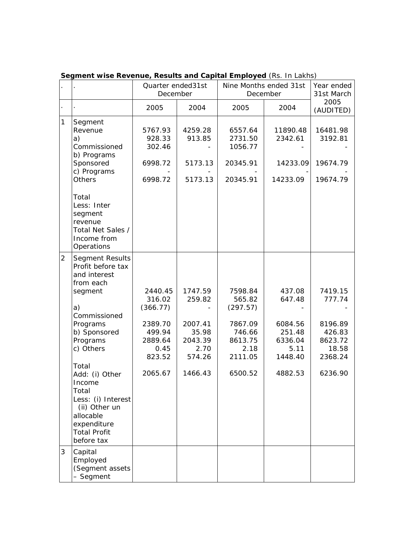|                |                                                                                                                                                    | Quarter ended31st<br>December                     |                                               | Nine Months ended 31st<br>December                    |                                                 | Year ended<br>31st March                         |
|----------------|----------------------------------------------------------------------------------------------------------------------------------------------------|---------------------------------------------------|-----------------------------------------------|-------------------------------------------------------|-------------------------------------------------|--------------------------------------------------|
|                |                                                                                                                                                    | 2005                                              | 2004                                          | 2005                                                  | 2004                                            | 2005<br>(AUDITED)                                |
| 1              | Segment<br>Revenue<br>a)<br>Commissioned<br>b) Programs<br>Sponsored<br>c) Programs<br><b>Others</b>                                               | 5767.93<br>928.33<br>302.46<br>6998.72<br>6998.72 | 4259.28<br>913.85<br>5173.13<br>5173.13       | 6557.64<br>2731.50<br>1056.77<br>20345.91<br>20345.91 | 11890.48<br>2342.61<br>14233.09<br>14233.09     | 16481.98<br>3192.81<br>19674.79<br>19674.79      |
|                | Total<br>Less: Inter<br>segment<br>revenue<br>Total Net Sales /<br>Income from<br>Operations                                                       |                                                   |                                               |                                                       |                                                 |                                                  |
| $\overline{2}$ | Segment Results<br>Profit before tax<br>and interest<br>from each<br>segment                                                                       | 2440.45                                           | 1747.59                                       | 7598.84                                               | 437.08                                          | 7419.15                                          |
|                | a)<br>Commissioned                                                                                                                                 | 316.02<br>(366.77)                                | 259.82                                        | 565.82<br>(297.57)                                    | 647.48                                          | 777.74                                           |
|                | Programs<br>b) Sponsored<br>Programs<br>c) Others                                                                                                  | 2389.70<br>499.94<br>2889.64<br>0.45<br>823.52    | 2007.41<br>35.98<br>2043.39<br>2.70<br>574.26 | 7867.09<br>746.66<br>8613.75<br>2.18<br>2111.05       | 6084.56<br>251.48<br>6336.04<br>5.11<br>1448.40 | 8196.89<br>426.83<br>8623.72<br>18.58<br>2368.24 |
|                | Total<br>Add: (i) Other<br>Income<br>Total<br>Less: (i) Interest<br>(ii) Other un<br>allocable<br>expenditure<br><b>Total Profit</b><br>before tax | 2065.67                                           | 1466.43                                       | 6500.52                                               | 4882.53                                         | 6236.90                                          |
| 3              | Capital<br>Employed<br>(Segment assets<br>- Segment                                                                                                |                                                   |                                               |                                                       |                                                 |                                                  |

**Segment wise Revenue, Results and Capital Employed** (Rs. In Lakhs)